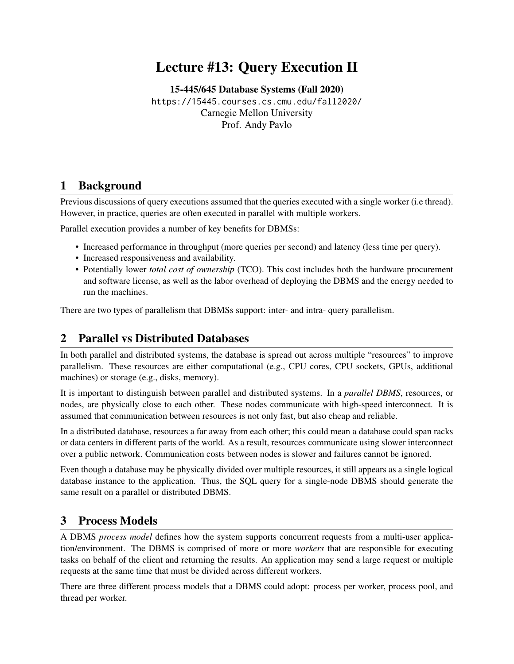# Lecture #13: Query Execution II

[15-445/645 Database Systems \(Fall 2020\)](https://15445.courses.cs.cmu.edu/fall2020/) <https://15445.courses.cs.cmu.edu/fall2020/> Carnegie Mellon University [Prof. Andy Pavlo](http://www.cs.cmu.edu/~pavlo/)

## 1 Background

Previous discussions of query executions assumed that the queries executed with a single worker (i.e thread). However, in practice, queries are often executed in parallel with multiple workers.

Parallel execution provides a number of key benefits for DBMSs:

- Increased performance in throughput (more queries per second) and latency (less time per query).
- Increased responsiveness and availability.
- Potentially lower *total cost of ownership* (TCO). This cost includes both the hardware procurement and software license, as well as the labor overhead of deploying the DBMS and the energy needed to run the machines.

There are two types of parallelism that DBMSs support: inter- and intra- query parallelism.

### 2 Parallel vs Distributed Databases

In both parallel and distributed systems, the database is spread out across multiple "resources" to improve parallelism. These resources are either computational (e.g., CPU cores, CPU sockets, GPUs, additional machines) or storage (e.g., disks, memory).

It is important to distinguish between parallel and distributed systems. In a *parallel DBMS*, resources, or nodes, are physically close to each other. These nodes communicate with high-speed interconnect. It is assumed that communication between resources is not only fast, but also cheap and reliable.

In a distributed database, resources a far away from each other; this could mean a database could span racks or data centers in different parts of the world. As a result, resources communicate using slower interconnect over a public network. Communication costs between nodes is slower and failures cannot be ignored.

Even though a database may be physically divided over multiple resources, it still appears as a single logical database instance to the application. Thus, the SQL query for a single-node DBMS should generate the same result on a parallel or distributed DBMS.

### 3 Process Models

A DBMS *process model* defines how the system supports concurrent requests from a multi-user application/environment. The DBMS is comprised of more or more *workers* that are responsible for executing tasks on behalf of the client and returning the results. An application may send a large request or multiple requests at the same time that must be divided across different workers.

There are three different process models that a DBMS could adopt: process per worker, process pool, and thread per worker.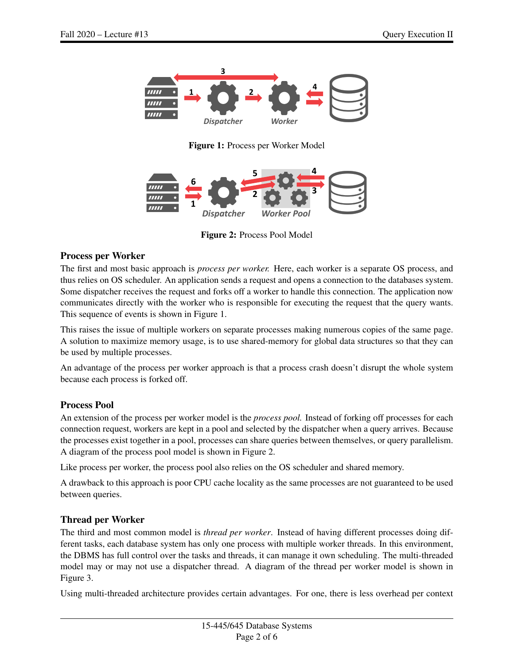<span id="page-1-0"></span>

Figure 1: Process per Worker Model

<span id="page-1-1"></span>

Figure 2: Process Pool Model

### Process per Worker

The first and most basic approach is *process per worker.* Here, each worker is a separate OS process, and thus relies on OS scheduler. An application sends a request and opens a connection to the databases system. Some dispatcher receives the request and forks off a worker to handle this connection. The application now communicates directly with the worker who is responsible for executing the request that the query wants. This sequence of events is shown in [Figure 1.](#page-1-0)

This raises the issue of multiple workers on separate processes making numerous copies of the same page. A solution to maximize memory usage, is to use shared-memory for global data structures so that they can be used by multiple processes.

An advantage of the process per worker approach is that a process crash doesn't disrupt the whole system because each process is forked off.

#### Process Pool

An extension of the process per worker model is the *process pool.* Instead of forking off processes for each connection request, workers are kept in a pool and selected by the dispatcher when a query arrives. Because the processes exist together in a pool, processes can share queries between themselves, or query parallelism. A diagram of the process pool model is shown in [Figure 2.](#page-1-1)

Like process per worker, the process pool also relies on the OS scheduler and shared memory.

A drawback to this approach is poor CPU cache locality as the same processes are not guaranteed to be used between queries.

### Thread per Worker

The third and most common model is *thread per worker*. Instead of having different processes doing different tasks, each database system has only one process with multiple worker threads. In this environment, the DBMS has full control over the tasks and threads, it can manage it own scheduling. The multi-threaded model may or may not use a dispatcher thread. A diagram of the thread per worker model is shown in [Figure 3.](#page-2-0)

Using multi-threaded architecture provides certain advantages. For one, there is less overhead per context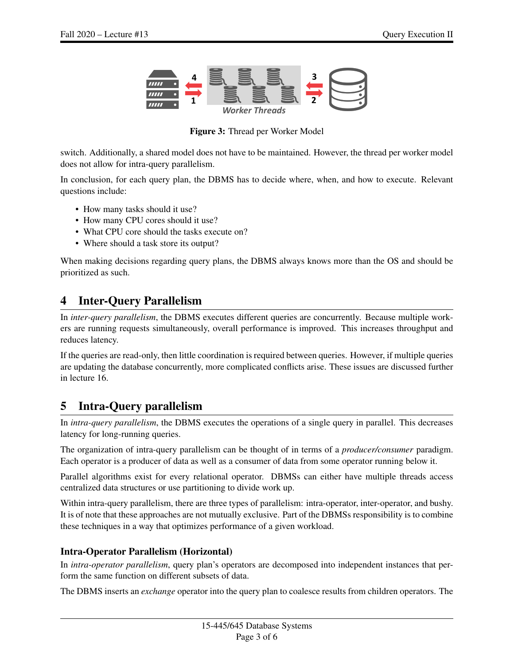<span id="page-2-0"></span>

Figure 3: Thread per Worker Model

switch. Additionally, a shared model does not have to be maintained. However, the thread per worker model does not allow for intra-query parallelism.

In conclusion, for each query plan, the DBMS has to decide where, when, and how to execute. Relevant questions include:

- How many tasks should it use?
- How many CPU cores should it use?
- What CPU core should the tasks execute on?
- Where should a task store its output?

When making decisions regarding query plans, the DBMS always knows more than the OS and should be prioritized as such.

### 4 Inter-Query Parallelism

In *inter-query parallelism*, the DBMS executes different queries are concurrently. Because multiple workers are running requests simultaneously, overall performance is improved. This increases throughput and reduces latency.

If the queries are read-only, then little coordination is required between queries. However, if multiple queries are updating the database concurrently, more complicated conflicts arise. These issues are discussed further in lecture 16.

# 5 Intra-Query parallelism

In *intra-query parallelism*, the DBMS executes the operations of a single query in parallel. This decreases latency for long-running queries.

The organization of intra-query parallelism can be thought of in terms of a *producer/consumer* paradigm. Each operator is a producer of data as well as a consumer of data from some operator running below it.

Parallel algorithms exist for every relational operator. DBMSs can either have multiple threads access centralized data structures or use partitioning to divide work up.

Within intra-query parallelism, there are three types of parallelism: intra-operator, inter-operator, and bushy. It is of note that these approaches are not mutually exclusive. Part of the DBMSs responsibility is to combine these techniques in a way that optimizes performance of a given workload.

### Intra-Operator Parallelism (Horizontal)

In *intra-operator parallelism*, query plan's operators are decomposed into independent instances that perform the same function on different subsets of data.

The DBMS inserts an *exchange* operator into the query plan to coalesce results from children operators. The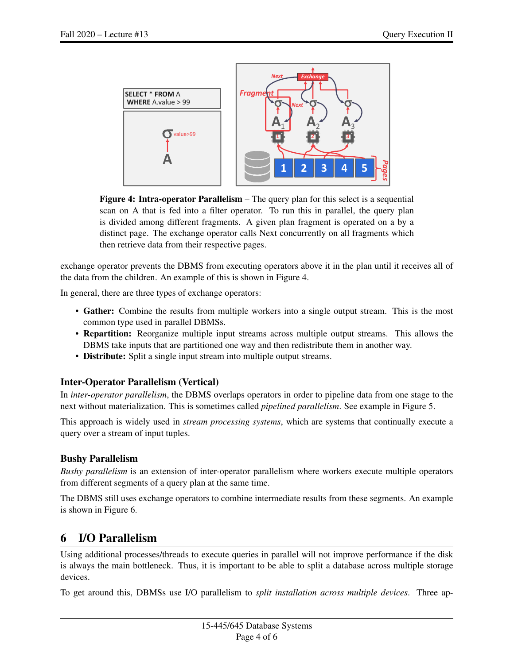<span id="page-3-0"></span>

Figure 4: Intra-operator Parallelism – The query plan for this select is a sequential scan on A that is fed into a filter operator. To run this in parallel, the query plan is divided among different fragments. A given plan fragment is operated on a by a distinct page. The exchange operator calls Next concurrently on all fragments which then retrieve data from their respective pages.

exchange operator prevents the DBMS from executing operators above it in the plan until it receives all of the data from the children. An example of this is shown in [Figure 4.](#page-3-0)

In general, there are three types of exchange operators:

- Gather: Combine the results from multiple workers into a single output stream. This is the most common type used in parallel DBMSs.
- Repartition: Reorganize multiple input streams across multiple output streams. This allows the DBMS take inputs that are partitioned one way and then redistribute them in another way.
- Distribute: Split a single input stream into multiple output streams.

### Inter-Operator Parallelism (Vertical)

In *inter-operator parallelism*, the DBMS overlaps operators in order to pipeline data from one stage to the next without materialization. This is sometimes called *pipelined parallelism*. See example in [Figure 5.](#page-4-0)

This approach is widely used in *stream processing systems*, which are systems that continually execute a query over a stream of input tuples.

### Bushy Parallelism

*Bushy parallelism* is an extension of inter-operator parallelism where workers execute multiple operators from different segments of a query plan at the same time.

The DBMS still uses exchange operators to combine intermediate results from these segments. An example is shown in [Figure 6.](#page-4-1)

# 6 I/O Parallelism

Using additional processes/threads to execute queries in parallel will not improve performance if the disk is always the main bottleneck. Thus, it is important to be able to split a database across multiple storage devices.

To get around this, DBMSs use I/O parallelism to *split installation across multiple devices*. Three ap-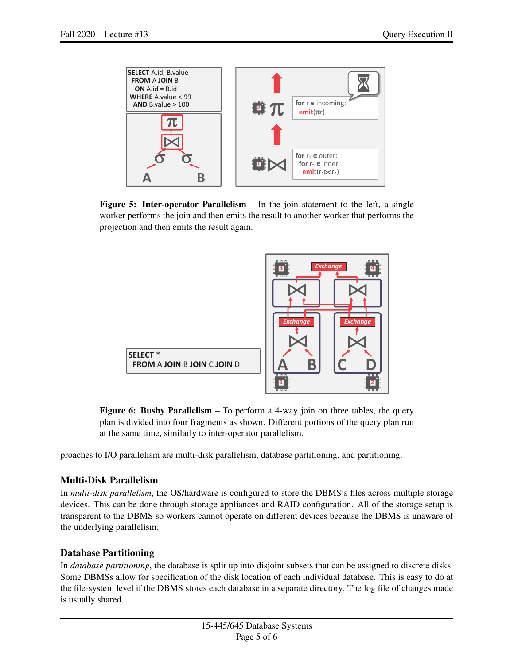<span id="page-4-0"></span>

**Figure 5: Inter-operator Parallelism** – In the join statement to the left, a single worker performs the join and then emits the result to another worker that performs the projection and then emits the result again.

<span id="page-4-1"></span>

Figure 6: Bushy Parallelism – To perform a 4-way join on three tables, the query plan is divided into four fragments as shown. Different portions of the query plan run at the same time, similarly to inter-operator parallelism.

proaches to I/O parallelism are multi-disk parallelism, database partitioning, and partitioning.

### Multi-Disk Parallelism

In *multi-disk parallelism*, the OS/hardware is configured to store the DBMS's files across multiple storage devices. This can be done through storage appliances and RAID configuration. All of the storage setup is transparent to the DBMS so workers cannot operate on different devices because the DBMS is unaware of the underlying parallelism.

### Database Partitioning

In *database partitioning*, the database is split up into disjoint subsets that can be assigned to discrete disks. Some DBMSs allow for specification of the disk location of each individual database. This is easy to do at the file-system level if the DBMS stores each database in a separate directory. The log file of changes made is usually shared.